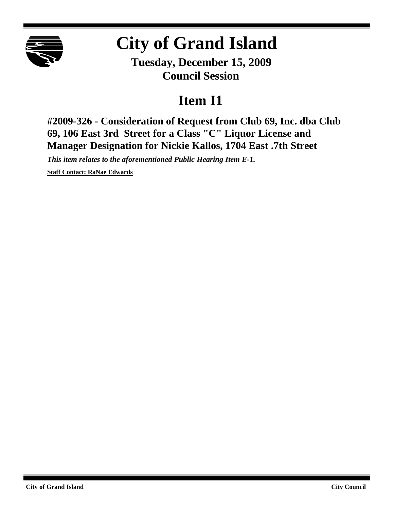

## **City of Grand Island**

**Tuesday, December 15, 2009 Council Session**

## **Item I1**

**#2009-326 - Consideration of Request from Club 69, Inc. dba Club 69, 106 East 3rd Street for a Class "C" Liquor License and Manager Designation for Nickie Kallos, 1704 East .7th Street**

*This item relates to the aforementioned Public Hearing Item E-1.*

**Staff Contact: RaNae Edwards**